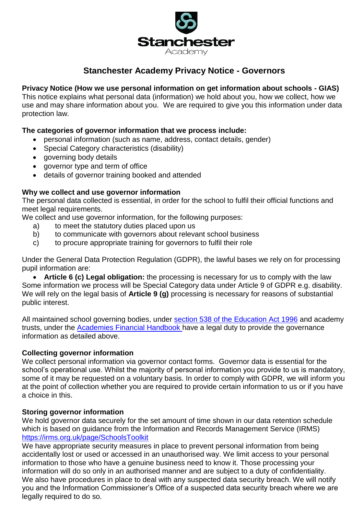

# **Stanchester Academy Privacy Notice - Governors**

# **Privacy Notice (How we use personal information on get information about schools - GIAS)**

This notice explains what personal data (information) we hold about you, how we collect, how we use and may share information about you. We are required to give you this information under data protection law.

# **The categories of governor information that we process include:**

- personal information (such as name, address, contact details, gender)
- Special Category characteristics (disability)
- governing body details
- governor type and term of office
- details of governor training booked and attended

## **Why we collect and use governor information**

The personal data collected is essential, in order for the school to fulfil their official functions and meet legal requirements.

We collect and use governor information, for the following purposes:

- a) to meet the statutory duties placed upon us
- b) to communicate with governors about relevant school business
- c) to procure appropriate training for governors to fulfil their role

Under the General Data Protection Regulation (GDPR), the lawful bases we rely on for processing pupil information are:

 **Article 6 (c) Legal obligation:** the processing is necessary for us to comply with the law Some information we process will be Special Category data under Article 9 of GDPR e.g. disability. We will rely on the legal basis of **Article 9 (g)** processing is necessary for reasons of substantial public interest.

All maintained school governing bodies, under [section 538 of the Education Act 1996](http://www.legislation.gov.uk/ukpga/1996/56/section/538) and academy trusts, under the [Academies Financial Handbook h](https://www.gov.uk/government/publications/academies-financial-handbook)ave a legal duty to provide the governance information as detailed above.

#### **Collecting governor information**

We collect personal information via governor contact forms. Governor data is essential for the school's operational use. Whilst the majority of personal information you provide to us is mandatory, some of it may be requested on a voluntary basis. In order to comply with GDPR, we will inform you at the point of collection whether you are required to provide certain information to us or if you have a choice in this.

#### **Storing governor information**

We hold governor data securely for the set amount of time shown in our data retention schedule which is based on guidance from the Information and Records Management Service (IRMS) <https://irms.org.uk/page/SchoolsToolkit>

We have appropriate security measures in place to prevent personal information from being accidentally lost or used or accessed in an unauthorised way. We limit access to your personal information to those who have a genuine business need to know it. Those processing your information will do so only in an authorised manner and are subject to a duty of confidentiality. We also have procedures in place to deal with any suspected data security breach. We will notify you and the Information Commissioner's Office of a suspected data security breach where we are legally required to do so.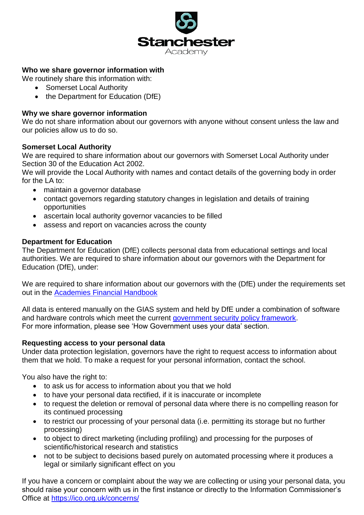

# **Who we share governor information with**

We routinely share this information with:

- Somerset Local Authority
- the Department for Education (DfE)

#### **Why we share governor information**

We do not share information about our governors with anyone without consent unless the law and our policies allow us to do so.

## **Somerset Local Authority**

We are required to share information about our governors with Somerset Local Authority under Section 30 of the Education Act 2002.

We will provide the Local Authority with names and contact details of the governing body in order for the LA to:

- maintain a governor database
- contact governors regarding statutory changes in legislation and details of training opportunities
- ascertain local authority governor vacancies to be filled
- assess and report on vacancies across the county

## **Department for Education**

The Department for Education (DfE) collects personal data from educational settings and local authorities. We are required to share information about our governors with the Department for Education (DfE), under:

We are required to share information about our governors with the (DfE) under the requirements set out in the [Academies Financial Handbook](https://www.gov.uk/government/publications/academies-financial-handbook) 

All data is entered manually on the GIAS system and held by DfE under a combination of software and hardware controls which meet the current [government security policy framework.](https://www.gov.uk/government/publications/security-policy-framework) For more information, please see 'How Government uses your data' section.

#### **Requesting access to your personal data**

Under data protection legislation, governors have the right to request access to information about them that we hold. To make a request for your personal information, contact the school.

You also have the right to:

- to ask us for access to information about you that we hold
- to have your personal data rectified, if it is inaccurate or incomplete
- to request the deletion or removal of personal data where there is no compelling reason for its continued processing
- to restrict our processing of your personal data (i.e. permitting its storage but no further processing)
- to object to direct marketing (including profiling) and processing for the purposes of scientific/historical research and statistics
- not to be subject to decisions based purely on automated processing where it produces a legal or similarly significant effect on you

If you have a concern or complaint about the way we are collecting or using your personal data, you should raise your concern with us in the first instance or directly to the Information Commissioner's Office at<https://ico.org.uk/concerns/>